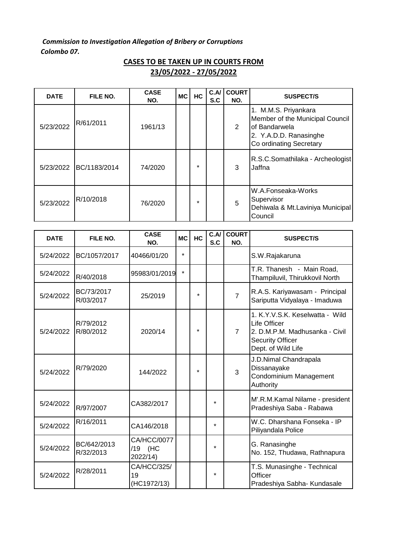*Commission to Investigation Allegation of Bribery or Corruptions Colombo 07.* 

| <b>DATE</b> | FILE NO.     | <b>CASE</b><br>NO. | <b>MC</b> | <b>HC</b> | C.A/<br>S.C | <b>COURT</b><br>NO. | <b>SUSPECT/S</b>                                                                                                              |
|-------------|--------------|--------------------|-----------|-----------|-------------|---------------------|-------------------------------------------------------------------------------------------------------------------------------|
| 5/23/2022   | R/61/2011    | 1961/13            |           |           |             | 2                   | 1. M.M.S. Priyankara<br>Member of the Municipal Council<br>of Bandarwela<br>2. Y.A.D.D. Ranasinghe<br>Co ordinating Secretary |
| 5/23/2022   | BC/1183/2014 | 74/2020            |           | $\star$   |             | 3                   | R.S.C.Somathilaka - Archeologist<br>Jaffna                                                                                    |
| 5/23/2022   | R/10/2018    | 76/2020            |           | $\star$   |             | 5                   | W.A.Fonseaka-Works<br>Supervisor<br>Dehiwala & Mt.Laviniya Municipal<br>Council                                               |

| <b>CASES TO BE TAKEN UP IN COURTS FROM</b> |
|--------------------------------------------|
| 23/05/2022 - 27/05/2022                    |

| <b>DATE</b> | FILE NO.                 | <b>CASE</b><br>NO.                 | <b>MC</b> | HC      | C.A/<br>S.C | <b>COURT</b><br>NO. | <b>SUSPECT/S</b>                                                                                                                   |
|-------------|--------------------------|------------------------------------|-----------|---------|-------------|---------------------|------------------------------------------------------------------------------------------------------------------------------------|
| 5/24/2022   | BC/1057/2017             | 40466/01/20                        | $\star$   |         |             |                     | S.W.Rajakaruna                                                                                                                     |
| 5/24/2022   | R/40/2018                | 95983/01/2019                      | $\star$   |         |             |                     | T.R. Thanesh - Main Road,<br>Thampiluvil, Thirukkovil North                                                                        |
| 5/24/2022   | BC/73/2017<br>R/03/2017  | 25/2019                            |           | $\star$ |             | $\overline{7}$      | R.A.S. Kariyawasam - Principal<br>Sariputta Vidyalaya - Imaduwa                                                                    |
| 5/24/2022   | R/79/2012<br>R/80/2012   | 2020/14                            |           | $\star$ |             | $\overline{7}$      | 1. K.Y.V.S.K. Keselwatta - Wild<br>Life Officer<br>2. D.M.P.M. Madhusanka - Civil<br><b>Security Officer</b><br>Dept. of Wild Life |
| 5/24/2022   | R/79/2020                | 144/2022                           |           | $\star$ |             | 3                   | J.D.Nimal Chandrapala<br>Dissanayake<br>Condominium Management<br>Authority                                                        |
| 5/24/2022   | R/97/2007                | CA382/2017                         |           |         | $\star$     |                     | M'.R.M.Kamal Nilame - president<br>Pradeshiya Saba - Rabawa                                                                        |
| 5/24/2022   | R/16/2011                | CA146/2018                         |           |         | $\star$     |                     | W.C. Dharshana Fonseka - IP<br>Piliyandala Police                                                                                  |
| 5/24/2022   | BC/642/2013<br>R/32/2013 | CA/HCC/0077<br>/19 (HC<br>2022/14) |           |         | $\star$     |                     | G. Ranasinghe<br>No. 152, Thudawa, Rathnapura                                                                                      |
| 5/24/2022   | R/28/2011                | CA/HCC/325/<br>19<br>(HC1972/13)   |           |         | $\star$     |                     | T.S. Munasinghe - Technical<br>Officer<br>Pradeshiya Sabha- Kundasale                                                              |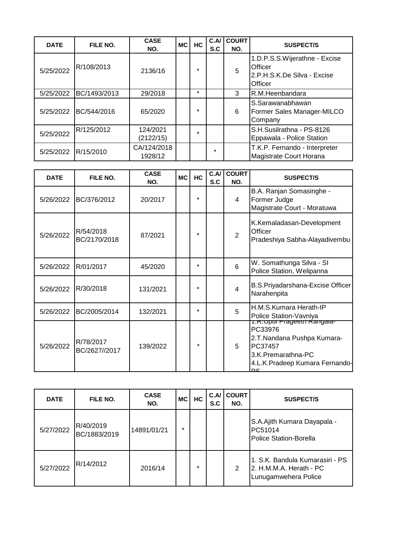| <b>DATE</b> | FILE NO.     | <b>CASE</b><br>NO.     | MC I | HC      | C.A<br>S.C | <b>COURT</b><br>NO. | <b>SUSPECT/S</b>                                                                    |
|-------------|--------------|------------------------|------|---------|------------|---------------------|-------------------------------------------------------------------------------------|
| 5/25/2022   | R/108/2013   | 2136/16                |      | $\star$ |            | 5                   | 1.D.P.S.S. Wijerathne - Excise<br>Officer<br>2.P.H.S.K.De Silva - Excise<br>Officer |
| 5/25/2022   | BC/1493/2013 | 29/2018                |      | $\star$ |            | 3                   | R.M.Heenbandara                                                                     |
| 5/25/2022   | BC/544/2016  | 65/2020                |      | $\star$ |            | 6                   | S.Sarawanabhawan<br>Former Sales Manager-MILCO<br>Company                           |
| 5/25/2022   | R/125/2012   | 124/2021<br>(2122/15)  |      | $\star$ |            |                     | S.H.Susilrathna - PS-8126<br>Eppawala - Police Station                              |
| 5/25/2022   | R/15/2010    | CA/124/2018<br>1928/12 |      |         | $\star$    |                     | T.K.P. Fernando - Interpreter<br>Magistrate Court Horana                            |

| <b>DATE</b> | FILE NO.                   | <b>CASE</b><br>NO. | <b>MC</b> | HC      | C.A/<br>S.C | <b>COURT</b><br>NO. | <b>SUSPECT/S</b>                                                                                                                              |
|-------------|----------------------------|--------------------|-----------|---------|-------------|---------------------|-----------------------------------------------------------------------------------------------------------------------------------------------|
| 5/26/2022   | BC/376/2012                | 20/2017            |           | $\star$ |             | 4                   | B.A. Ranjan Somasinghe -<br>Former Judge<br>Magistrate Court - Moratuwa                                                                       |
| 5/26/2022   | R/54/2018<br>BC/2170/2018  | 87/2021            |           | $\star$ |             | $\overline{2}$      | K.Kemaladasan-Development<br>Officer<br>Pradeshiya Sabha-Alayadivembu                                                                         |
| 5/26/2022   | R/01/2017                  | 45/2020            |           | $\star$ |             | 6                   | W. Somathunga Silva - SI<br>Police Station, Welipanna                                                                                         |
| 5/26/2022   | R/30/2018                  | 131/2021           |           | $\star$ |             | $\overline{4}$      | B.S.Priyadarshana-Excise Officer<br>Narahenpita                                                                                               |
| 5/26/2022   | BC/2005/2014               | 132/2021           |           | $\star$ |             | 5                   | H.M.S.Kumara Herath-IP<br>Police Station-Vavniya                                                                                              |
| 5/26/2022   | R/78/2017<br>BC/2627//2017 | 139/2022           |           | $\star$ |             | 5                   | <u>1.R.Upur Frageein Rangala-</u><br>PC33976<br>2.T.Nandana Pushpa Kumara-<br>PC37457<br>3.K.Premarathna-PC<br>4.L.K.Pradeep Kumara Fernando- |

| <b>DATE</b> | FILE NO.                  | <b>CASE</b><br>NO. | <b>MC</b> | HC      | C.A<br>S.C | <b>COURT</b><br>NO. | <b>SUSPECT/S</b>                                                                   |
|-------------|---------------------------|--------------------|-----------|---------|------------|---------------------|------------------------------------------------------------------------------------|
| 5/27/2022   | R/40/2019<br>BC/1883/2019 | 14891/01/21        | $\ast$    |         |            |                     | S.A.Ajith Kumara Dayapala -<br>PC51014<br>Police Station-Borella                   |
| 5/27/2022   | R/14/2012                 | 2016/14            |           | $\star$ |            | 2                   | 1. S.K. Bandula Kumarasiri - PS<br>2. H.M.M.A. Herath - PC<br>Lunugamwehera Police |